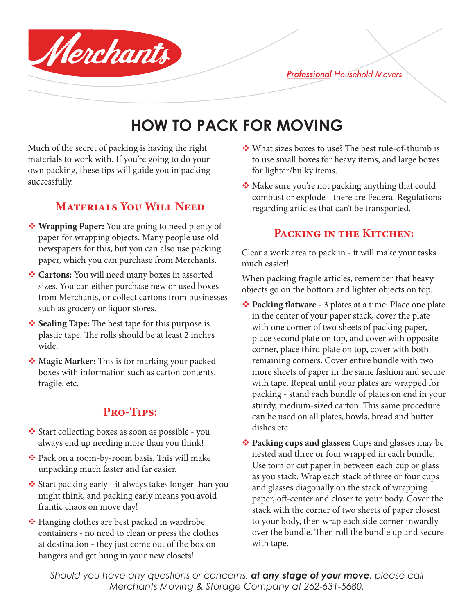**Professional Household Movers** 

# **HOW TO PACK FOR MOVING**

Much of the secret of packing is having the right materials to work with. If you're going to do your own packing, these tips will guide you in packing successfully.

Merchants

## **Materials You Will Need**

- **Wrapping Paper:** You are going to need plenty of paper for wrapping objects. Many people use old newspapers for this, but you can also use packing paper, which you can purchase from Merchants.
- **☆ Cartons:** You will need many boxes in assorted sizes. You can either purchase new or used boxes from Merchants, or collect cartons from businesses such as grocery or liquor stores.
- **Sealing Tape:** The best tape for this purpose is **↑** plastic tape. The rolls should be at least 2 inches wide.
- **◆ Magic Marker:** This is for marking your packed boxes with information such as carton contents, fragile, etc.

## **Pro-Tips:**

- Start collecting boxes as soon as possible you always end up needing more than you think!
- Pack on a room-by-room basis. This will make unpacking much faster and far easier.
- Start packing early it always takes longer than you might think, and packing early means you avoid frantic chaos on move day!
- **◆** Hanging clothes are best packed in wardrobe containers - no need to clean or press the clothes at destination - they just come out of the box on hangers and get hung in your new closets!
- What sizes boxes to use? The best rule-of-thumb is to use small boxes for heavy items, and large boxes for lighter/bulky items.
- Make sure you're not packing anything that could combust or explode - there are Federal Regulations regarding articles that can't be transported.

# **Packing in the Kitchen:**

Clear a work area to pack in - it will make your tasks much easier!

When packing fragile articles, remember that heavy objects go on the bottom and lighter objects on top.

- **◆ Packing flatware** 3 plates at a time: Place one plate in the center of your paper stack, cover the plate with one corner of two sheets of packing paper, place second plate on top, and cover with opposite corner, place third plate on top, cover with both remaining corners. Cover entire bundle with two more sheets of paper in the same fashion and secure with tape. Repeat until your plates are wrapped for packing - stand each bundle of plates on end in your sturdy, medium-sized carton. This same procedure can be used on all plates, bowls, bread and butter dishes etc.
- **Packing cups and glasses:** Cups and glasses may be nested and three or four wrapped in each bundle. Use torn or cut paper in between each cup or glass as you stack. Wrap each stack of three or four cups and glasses diagonally on the stack of wrapping paper, off-center and closer to your body. Cover the stack with the corner of two sheets of paper closest to your body, then wrap each side corner inwardly over the bundle. Then roll the bundle up and secure with tape.

*Should you have any questions or concerns, at any stage of your move, please call Merchants Moving & Storage Company at 262-631-5680.*